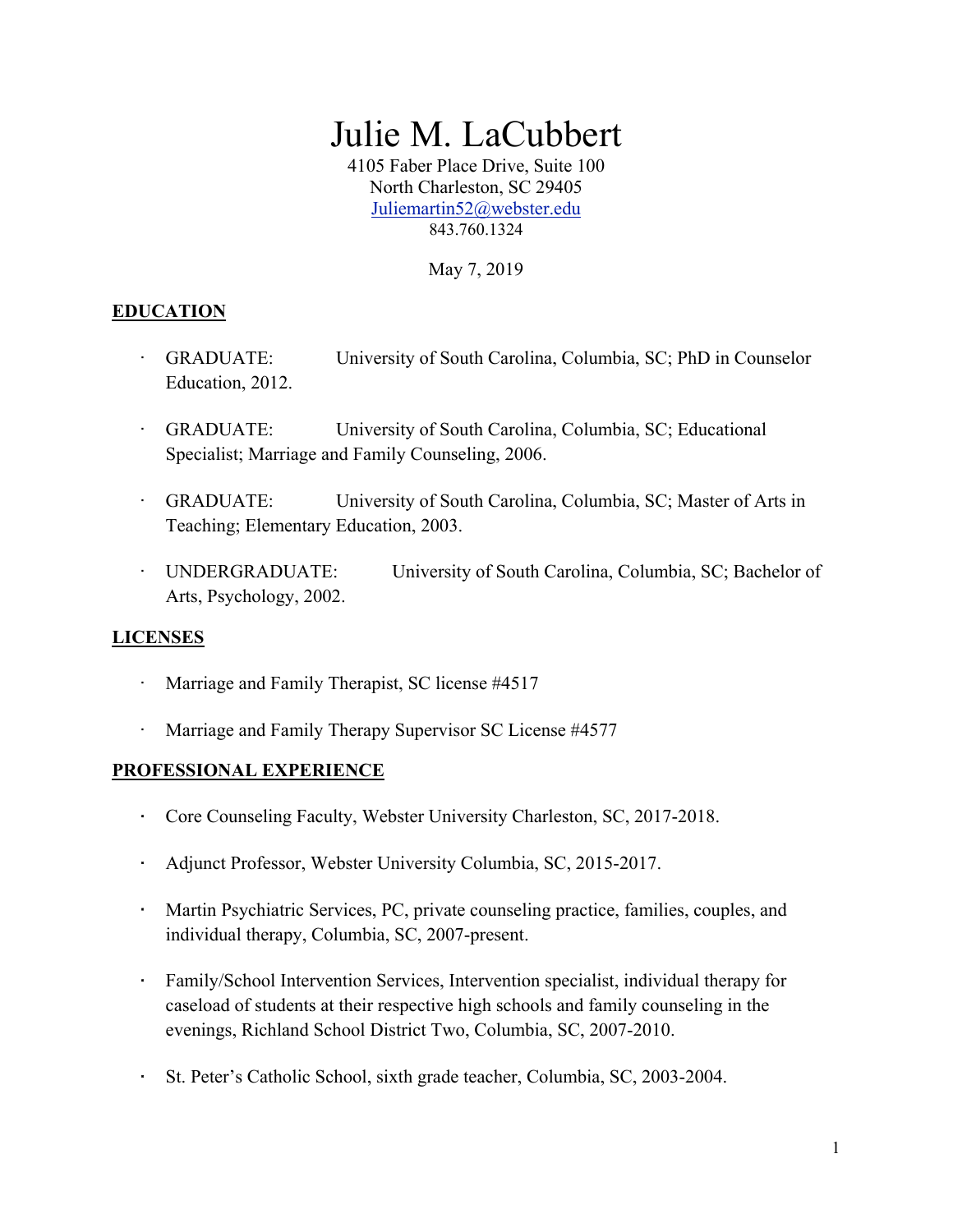# Julie M. LaCubbert

4105 Faber Place Drive, Suite 100 North Charleston, SC 29405 Juliemartin52@webster.edu 843.760.1324

May 7, 2019

#### **EDUCATION**

- GRADUATE: University of South Carolina, Columbia, SC; PhD in Counselor Education, 2012.
- · GRADUATE: University of South Carolina, Columbia, SC; Educational Specialist; Marriage and Family Counseling, 2006.
- · GRADUATE: University of South Carolina, Columbia, SC; Master of Arts in Teaching; Elementary Education, 2003.
- · UNDERGRADUATE: University of South Carolina, Columbia, SC; Bachelor of Arts, Psychology, 2002.

#### **LICENSES**

- Marriage and Family Therapist, SC license #4517
- Marriage and Family Therapy Supervisor SC License #4577

#### **PROFESSIONAL EXPERIENCE**

- · Core Counseling Faculty, Webster University Charleston, SC, 2017-2018.
- · Adjunct Professor, Webster University Columbia, SC, 2015-2017.
- · Martin Psychiatric Services, PC, private counseling practice, families, couples, and individual therapy, Columbia, SC, 2007-present.
- · Family/School Intervention Services, Intervention specialist, individual therapy for caseload of students at their respective high schools and family counseling in the evenings, Richland School District Two, Columbia, SC, 2007-2010.
- · St. Peter's Catholic School, sixth grade teacher, Columbia, SC, 2003-2004.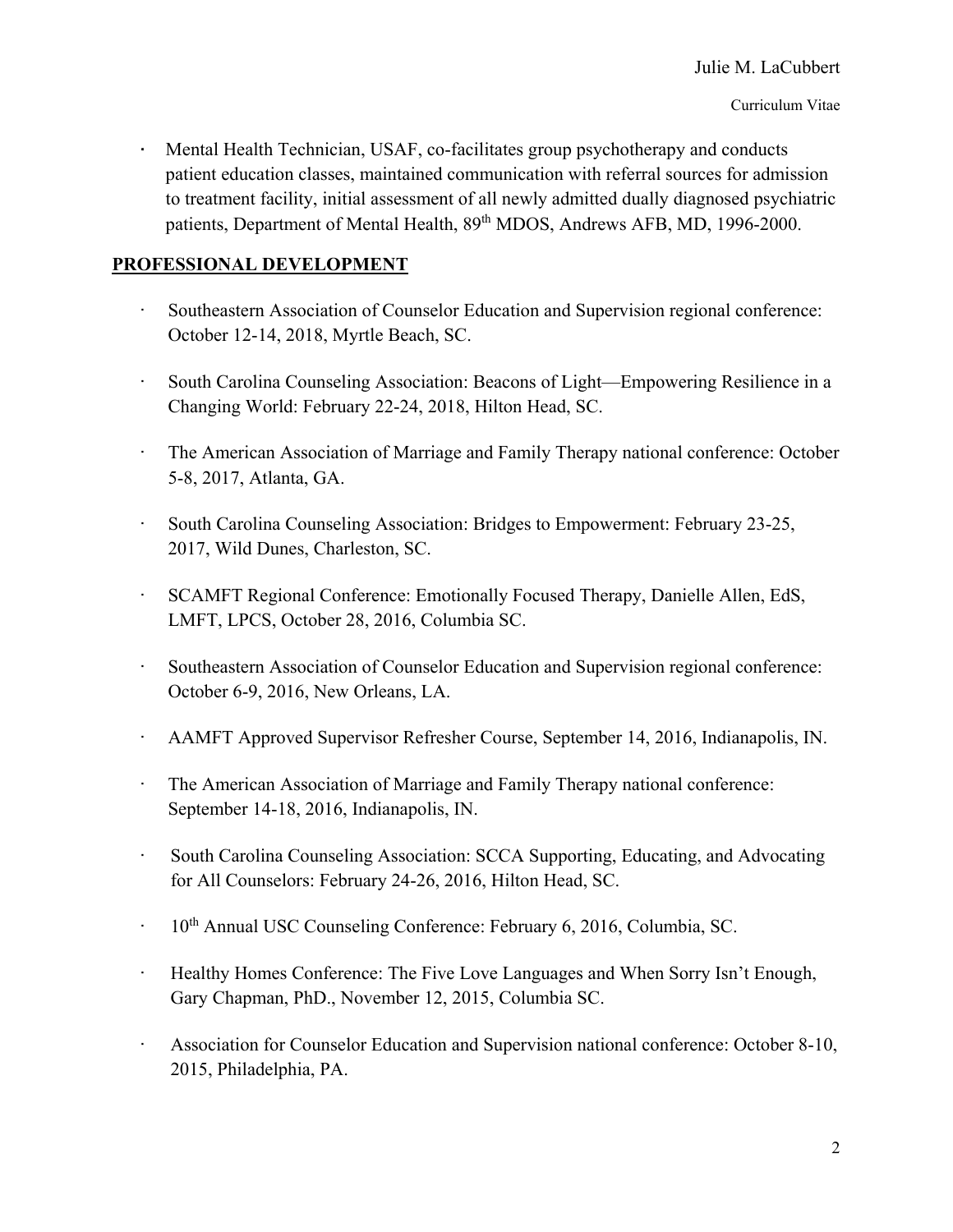Mental Health Technician, USAF, co-facilitates group psychotherapy and conducts patient education classes, maintained communication with referral sources for admission to treatment facility, initial assessment of all newly admitted dually diagnosed psychiatric patients, Department of Mental Health, 89<sup>th</sup> MDOS, Andrews AFB, MD, 1996-2000.

#### **PROFESSIONAL DEVELOPMENT**

- Southeastern Association of Counselor Education and Supervision regional conference: October 12-14, 2018, Myrtle Beach, SC.
- · South Carolina Counseling Association: Beacons of Light—Empowering Resilience in a Changing World: February 22-24, 2018, Hilton Head, SC.
- · The American Association of Marriage and Family Therapy national conference: October 5-8, 2017, Atlanta, GA.
- · South Carolina Counseling Association: Bridges to Empowerment: February 23-25, 2017, Wild Dunes, Charleston, SC.
- · SCAMFT Regional Conference: Emotionally Focused Therapy, Danielle Allen, EdS, LMFT, LPCS, October 28, 2016, Columbia SC.
- · Southeastern Association of Counselor Education and Supervision regional conference: October 6-9, 2016, New Orleans, LA.
- · AAMFT Approved Supervisor Refresher Course, September 14, 2016, Indianapolis, IN.
- · The American Association of Marriage and Family Therapy national conference: September 14-18, 2016, Indianapolis, IN.
- · South Carolina Counseling Association: SCCA Supporting, Educating, and Advocating for All Counselors: February 24-26, 2016, Hilton Head, SC.
- <sup>10th</sup> Annual USC Counseling Conference: February 6, 2016, Columbia, SC.
- · Healthy Homes Conference: The Five Love Languages and When Sorry Isn't Enough, Gary Chapman, PhD., November 12, 2015, Columbia SC.
- Association for Counselor Education and Supervision national conference: October 8-10, 2015, Philadelphia, PA.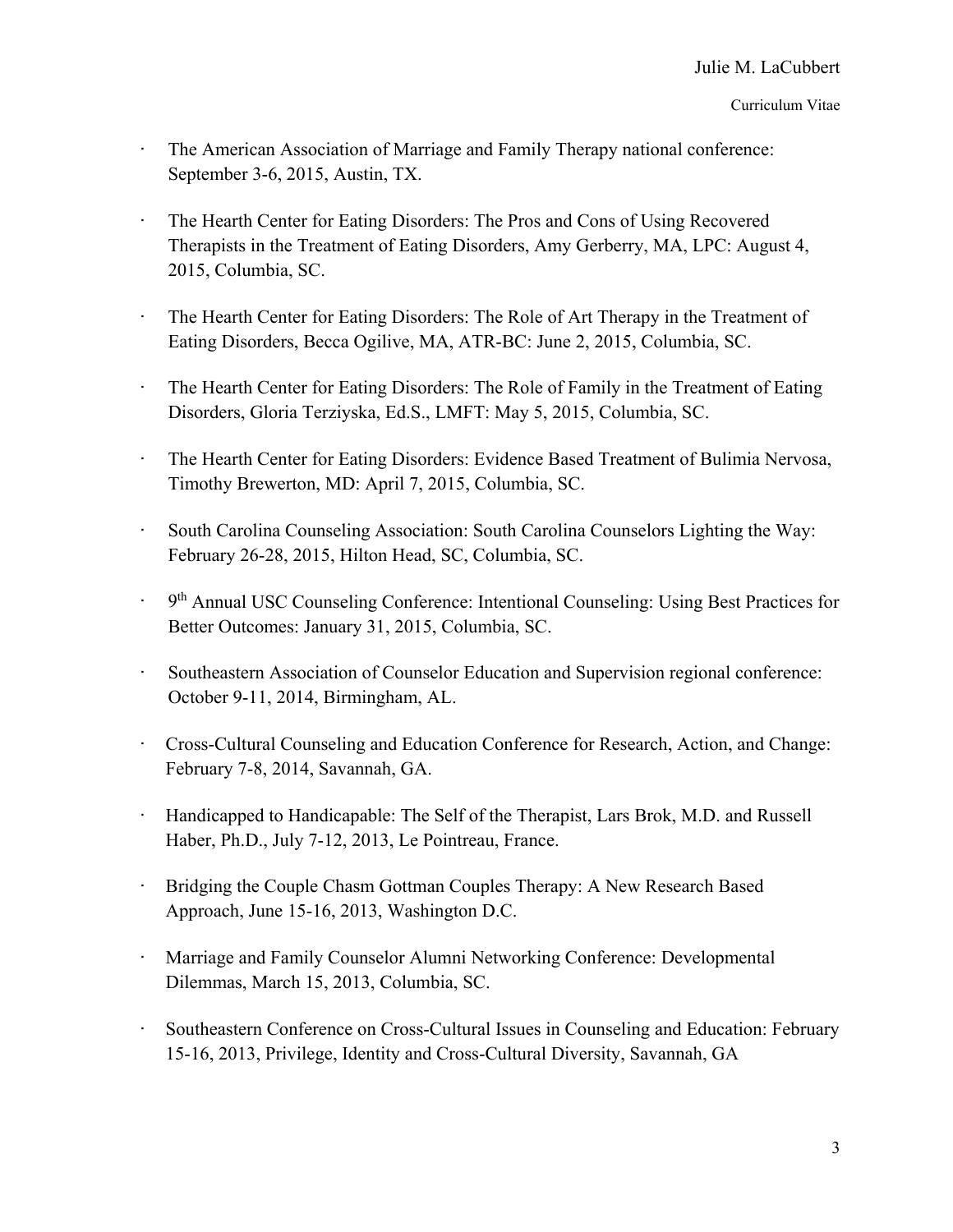- The American Association of Marriage and Family Therapy national conference: September 3-6, 2015, Austin, TX.
- · The Hearth Center for Eating Disorders: The Pros and Cons of Using Recovered Therapists in the Treatment of Eating Disorders, Amy Gerberry, MA, LPC: August 4, 2015, Columbia, SC.
- · The Hearth Center for Eating Disorders: The Role of Art Therapy in the Treatment of Eating Disorders, Becca Ogilive, MA, ATR-BC: June 2, 2015, Columbia, SC.
- · The Hearth Center for Eating Disorders: The Role of Family in the Treatment of Eating Disorders, Gloria Terziyska, Ed.S., LMFT: May 5, 2015, Columbia, SC.
- · The Hearth Center for Eating Disorders: Evidence Based Treatment of Bulimia Nervosa, Timothy Brewerton, MD: April 7, 2015, Columbia, SC.
- · South Carolina Counseling Association: South Carolina Counselors Lighting the Way: February 26-28, 2015, Hilton Head, SC, Columbia, SC.
- 9<sup>th</sup> Annual USC Counseling Conference: Intentional Counseling: Using Best Practices for Better Outcomes: January 31, 2015, Columbia, SC.
- · Southeastern Association of Counselor Education and Supervision regional conference: October 9-11, 2014, Birmingham, AL.
- · Cross-Cultural Counseling and Education Conference for Research, Action, and Change: February 7-8, 2014, Savannah, GA.
- · Handicapped to Handicapable: The Self of the Therapist, Lars Brok, M.D. and Russell Haber, Ph.D., July 7-12, 2013, Le Pointreau, France.
- Bridging the Couple Chasm Gottman Couples Therapy: A New Research Based Approach, June 15-16, 2013, Washington D.C.
- · Marriage and Family Counselor Alumni Networking Conference: Developmental Dilemmas, March 15, 2013, Columbia, SC.
- Southeastern Conference on Cross-Cultural Issues in Counseling and Education: February 15-16, 2013, Privilege, Identity and Cross-Cultural Diversity, Savannah, GA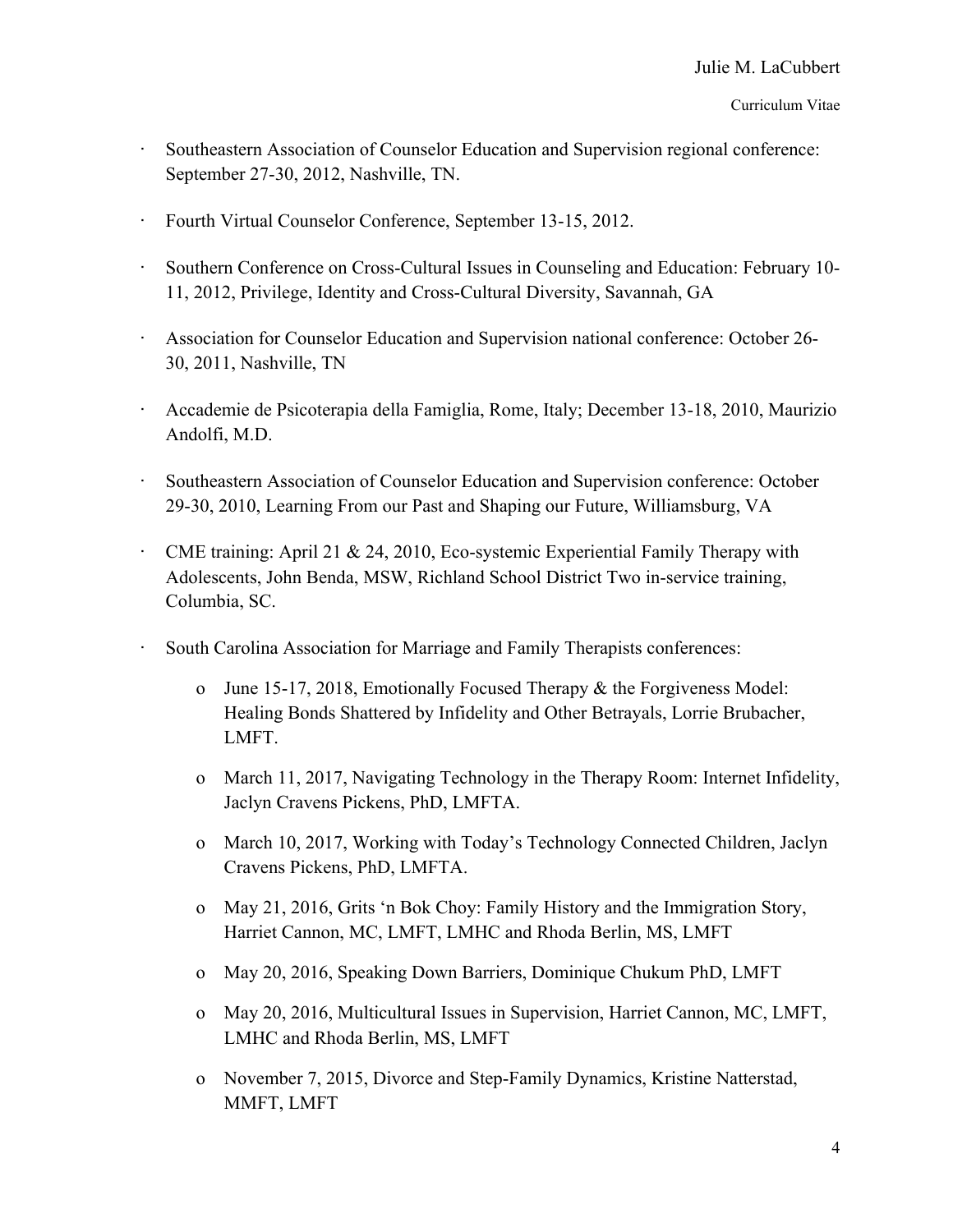#### Curriculum Vitae

- Southeastern Association of Counselor Education and Supervision regional conference: September 27-30, 2012, Nashville, TN.
- · Fourth Virtual Counselor Conference, September 13-15, 2012.
- · Southern Conference on Cross-Cultural Issues in Counseling and Education: February 10- 11, 2012, Privilege, Identity and Cross-Cultural Diversity, Savannah, GA
- · Association for Counselor Education and Supervision national conference: October 26- 30, 2011, Nashville, TN
- · Accademie de Psicoterapia della Famiglia, Rome, Italy; December 13-18, 2010, Maurizio Andolfi, M.D.
- Southeastern Association of Counselor Education and Supervision conference: October 29-30, 2010, Learning From our Past and Shaping our Future, Williamsburg, VA
- · CME training: April 21 & 24, 2010, Eco-systemic Experiential Family Therapy with Adolescents, John Benda, MSW, Richland School District Two in-service training, Columbia, SC.
- South Carolina Association for Marriage and Family Therapists conferences:
	- o June 15-17, 2018, Emotionally Focused Therapy & the Forgiveness Model: Healing Bonds Shattered by Infidelity and Other Betrayals, Lorrie Brubacher, LMFT.
	- o March 11, 2017, Navigating Technology in the Therapy Room: Internet Infidelity, Jaclyn Cravens Pickens, PhD, LMFTA.
	- o March 10, 2017, Working with Today's Technology Connected Children, Jaclyn Cravens Pickens, PhD, LMFTA.
	- o May 21, 2016, Grits 'n Bok Choy: Family History and the Immigration Story, Harriet Cannon, MC, LMFT, LMHC and Rhoda Berlin, MS, LMFT
	- o May 20, 2016, Speaking Down Barriers, Dominique Chukum PhD, LMFT
	- o May 20, 2016, Multicultural Issues in Supervision, Harriet Cannon, MC, LMFT, LMHC and Rhoda Berlin, MS, LMFT
	- o November 7, 2015, Divorce and Step-Family Dynamics, Kristine Natterstad, MMFT, LMFT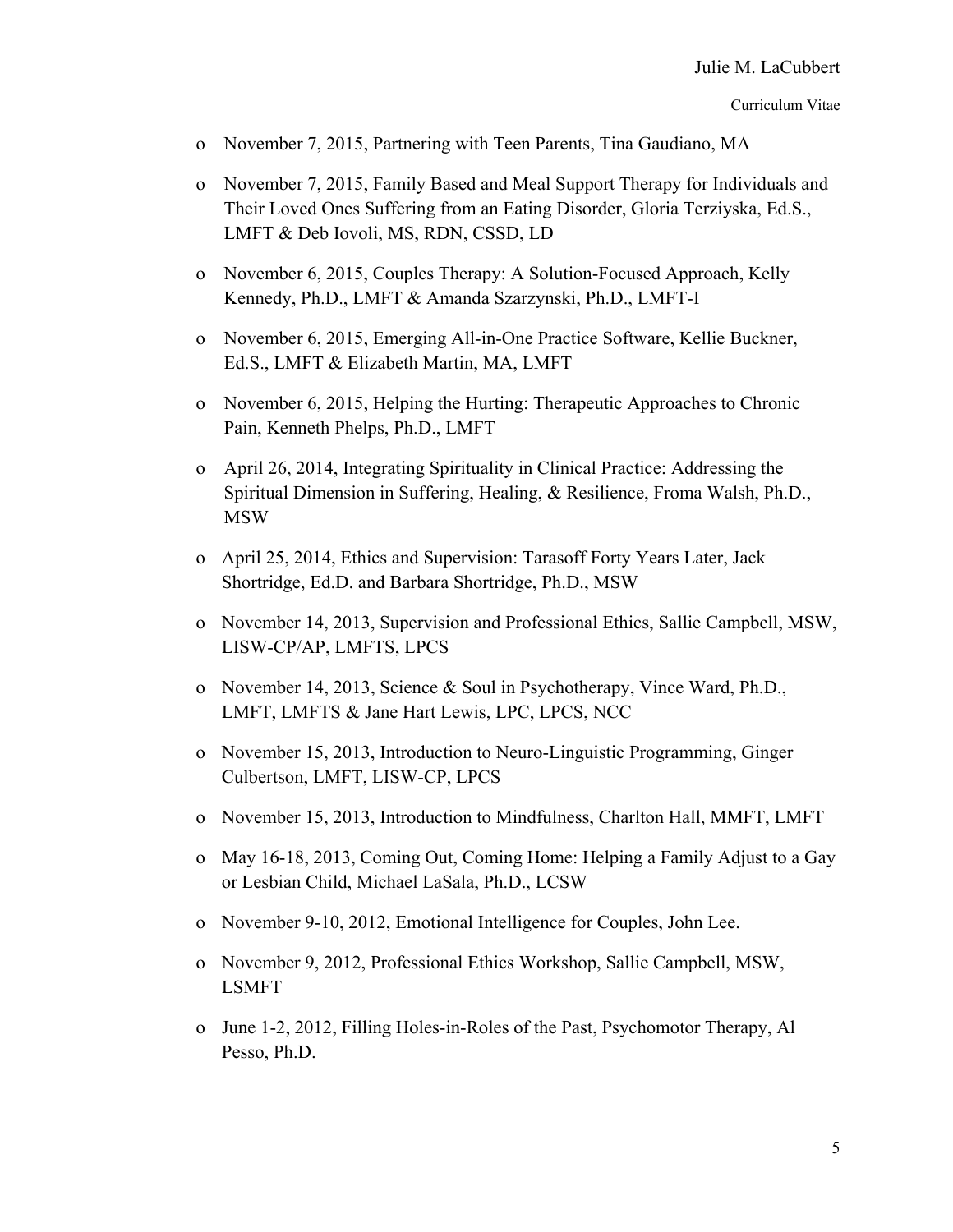- o November 7, 2015, Partnering with Teen Parents, Tina Gaudiano, MA
- o November 7, 2015, Family Based and Meal Support Therapy for Individuals and Their Loved Ones Suffering from an Eating Disorder, Gloria Terziyska, Ed.S., LMFT & Deb Iovoli, MS, RDN, CSSD, LD
- o November 6, 2015, Couples Therapy: A Solution-Focused Approach, Kelly Kennedy, Ph.D., LMFT & Amanda Szarzynski, Ph.D., LMFT-I
- o November 6, 2015, Emerging All-in-One Practice Software, Kellie Buckner, Ed.S., LMFT & Elizabeth Martin, MA, LMFT
- o November 6, 2015, Helping the Hurting: Therapeutic Approaches to Chronic Pain, Kenneth Phelps, Ph.D., LMFT
- o April 26, 2014, Integrating Spirituality in Clinical Practice: Addressing the Spiritual Dimension in Suffering, Healing, & Resilience, Froma Walsh, Ph.D., MSW
- o April 25, 2014, Ethics and Supervision: Tarasoff Forty Years Later, Jack Shortridge, Ed.D. and Barbara Shortridge, Ph.D., MSW
- o November 14, 2013, Supervision and Professional Ethics, Sallie Campbell, MSW, LISW-CP/AP, LMFTS, LPCS
- o November 14, 2013, Science & Soul in Psychotherapy, Vince Ward, Ph.D., LMFT, LMFTS & Jane Hart Lewis, LPC, LPCS, NCC
- o November 15, 2013, Introduction to Neuro-Linguistic Programming, Ginger Culbertson, LMFT, LISW-CP, LPCS
- o November 15, 2013, Introduction to Mindfulness, Charlton Hall, MMFT, LMFT
- o May 16-18, 2013, Coming Out, Coming Home: Helping a Family Adjust to a Gay or Lesbian Child, Michael LaSala, Ph.D., LCSW
- o November 9-10, 2012, Emotional Intelligence for Couples, John Lee.
- o November 9, 2012, Professional Ethics Workshop, Sallie Campbell, MSW, LSMFT
- o June 1-2, 2012, Filling Holes-in-Roles of the Past, Psychomotor Therapy, Al Pesso, Ph.D.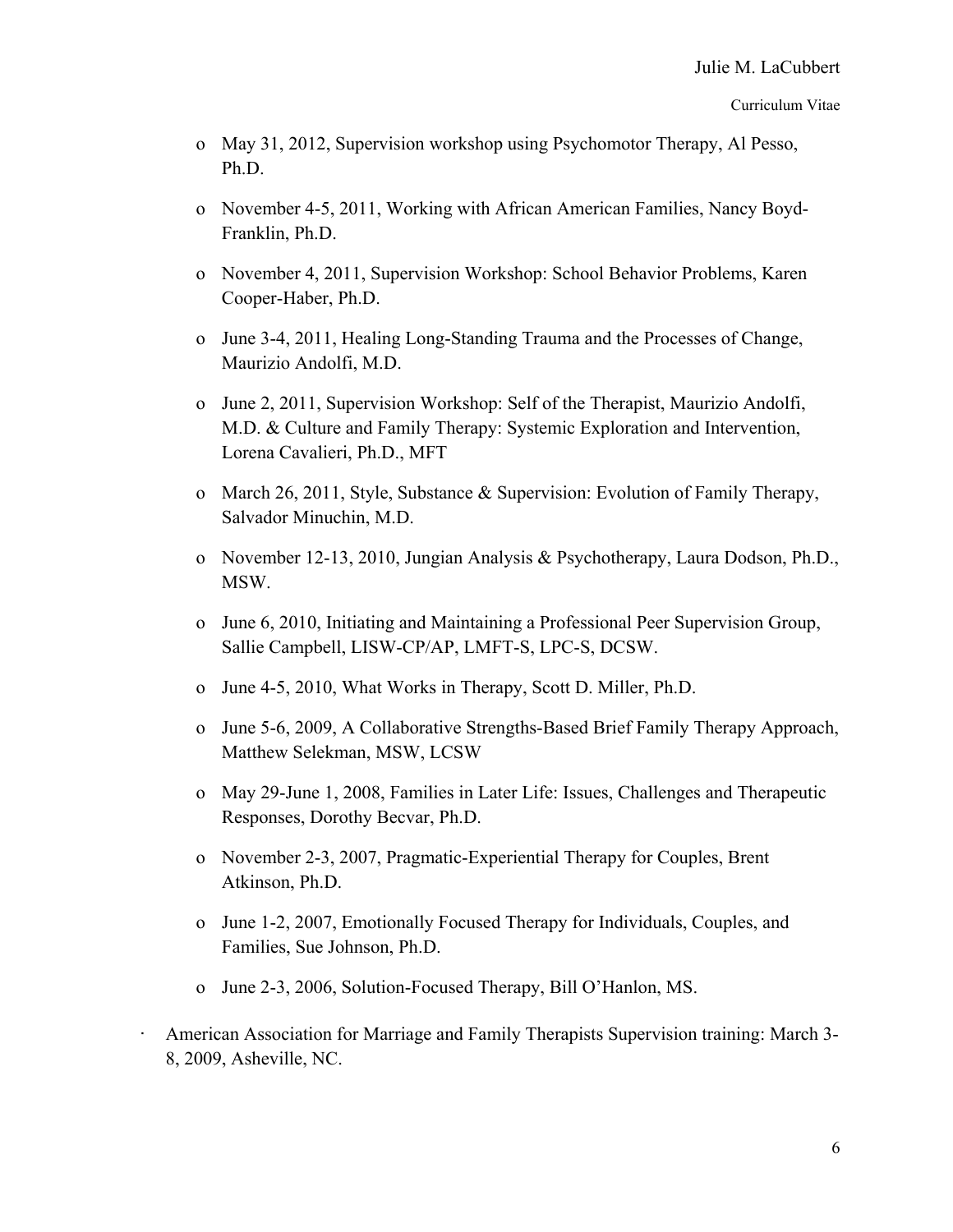#### Curriculum Vitae

- o May 31, 2012, Supervision workshop using Psychomotor Therapy, Al Pesso, Ph.D.
- o November 4-5, 2011, Working with African American Families, Nancy Boyd-Franklin, Ph.D.
- o November 4, 2011, Supervision Workshop: School Behavior Problems, Karen Cooper-Haber, Ph.D.
- o June 3-4, 2011, Healing Long-Standing Trauma and the Processes of Change, Maurizio Andolfi, M.D.
- o June 2, 2011, Supervision Workshop: Self of the Therapist, Maurizio Andolfi, M.D. & Culture and Family Therapy: Systemic Exploration and Intervention, Lorena Cavalieri, Ph.D., MFT
- o March 26, 2011, Style, Substance & Supervision: Evolution of Family Therapy, Salvador Minuchin, M.D.
- o November 12-13, 2010, Jungian Analysis & Psychotherapy, Laura Dodson, Ph.D., MSW.
- o June 6, 2010, Initiating and Maintaining a Professional Peer Supervision Group, Sallie Campbell, LISW-CP/AP, LMFT-S, LPC-S, DCSW.
- o June 4-5, 2010, What Works in Therapy, Scott D. Miller, Ph.D.
- o June 5-6, 2009, A Collaborative Strengths-Based Brief Family Therapy Approach, Matthew Selekman, MSW, LCSW
- o May 29-June 1, 2008, Families in Later Life: Issues, Challenges and Therapeutic Responses, Dorothy Becvar, Ph.D.
- o November 2-3, 2007, Pragmatic-Experiential Therapy for Couples, Brent Atkinson, Ph.D.
- o June 1-2, 2007, Emotionally Focused Therapy for Individuals, Couples, and Families, Sue Johnson, Ph.D.
- o June 2-3, 2006, Solution-Focused Therapy, Bill O'Hanlon, MS.
- American Association for Marriage and Family Therapists Supervision training: March 3-8, 2009, Asheville, NC.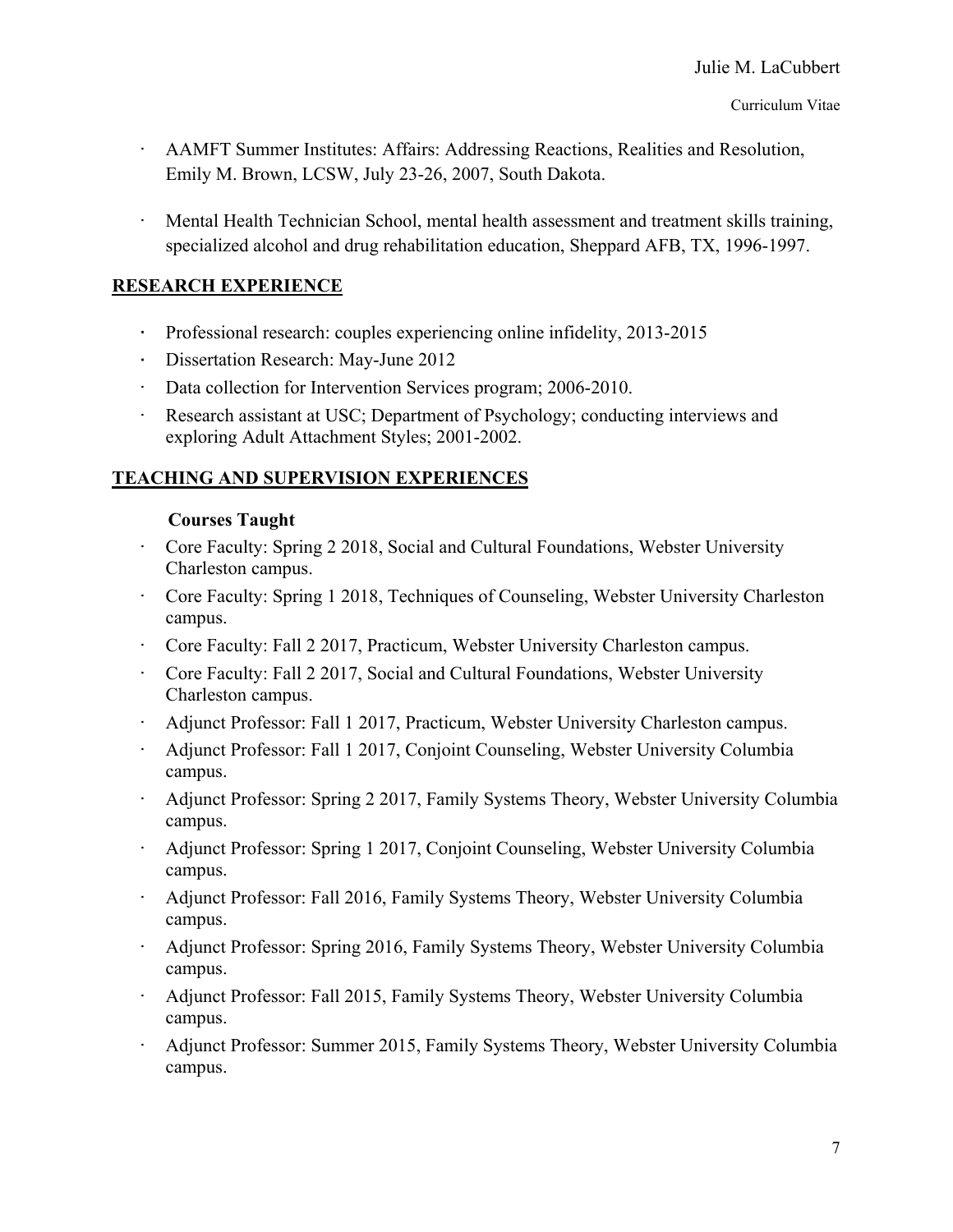- · AAMFT Summer Institutes: Affairs: Addressing Reactions, Realities and Resolution, Emily M. Brown, LCSW, July 23-26, 2007, South Dakota.
- · Mental Health Technician School, mental health assessment and treatment skills training, specialized alcohol and drug rehabilitation education, Sheppard AFB, TX, 1996-1997.

## **RESEARCH EXPERIENCE**

- · Professional research: couples experiencing online infidelity, 2013-2015
- · Dissertation Research: May-June 2012
- · Data collection for Intervention Services program; 2006-2010.
- · Research assistant at USC; Department of Psychology; conducting interviews and exploring Adult Attachment Styles; 2001-2002.

# **TEACHING AND SUPERVISION EXPERIENCES**

#### **Courses Taught**

- · Core Faculty: Spring 2 2018, Social and Cultural Foundations, Webster University Charleston campus.
- · Core Faculty: Spring 1 2018, Techniques of Counseling, Webster University Charleston campus.
- · Core Faculty: Fall 2 2017, Practicum, Webster University Charleston campus.
- · Core Faculty: Fall 2 2017, Social and Cultural Foundations, Webster University Charleston campus.
- · Adjunct Professor: Fall 1 2017, Practicum, Webster University Charleston campus.
- · Adjunct Professor: Fall 1 2017, Conjoint Counseling, Webster University Columbia campus.
- · Adjunct Professor: Spring 2 2017, Family Systems Theory, Webster University Columbia campus.
- · Adjunct Professor: Spring 1 2017, Conjoint Counseling, Webster University Columbia campus.
- · Adjunct Professor: Fall 2016, Family Systems Theory, Webster University Columbia campus.
- · Adjunct Professor: Spring 2016, Family Systems Theory, Webster University Columbia campus.
- · Adjunct Professor: Fall 2015, Family Systems Theory, Webster University Columbia campus.
- · Adjunct Professor: Summer 2015, Family Systems Theory, Webster University Columbia campus.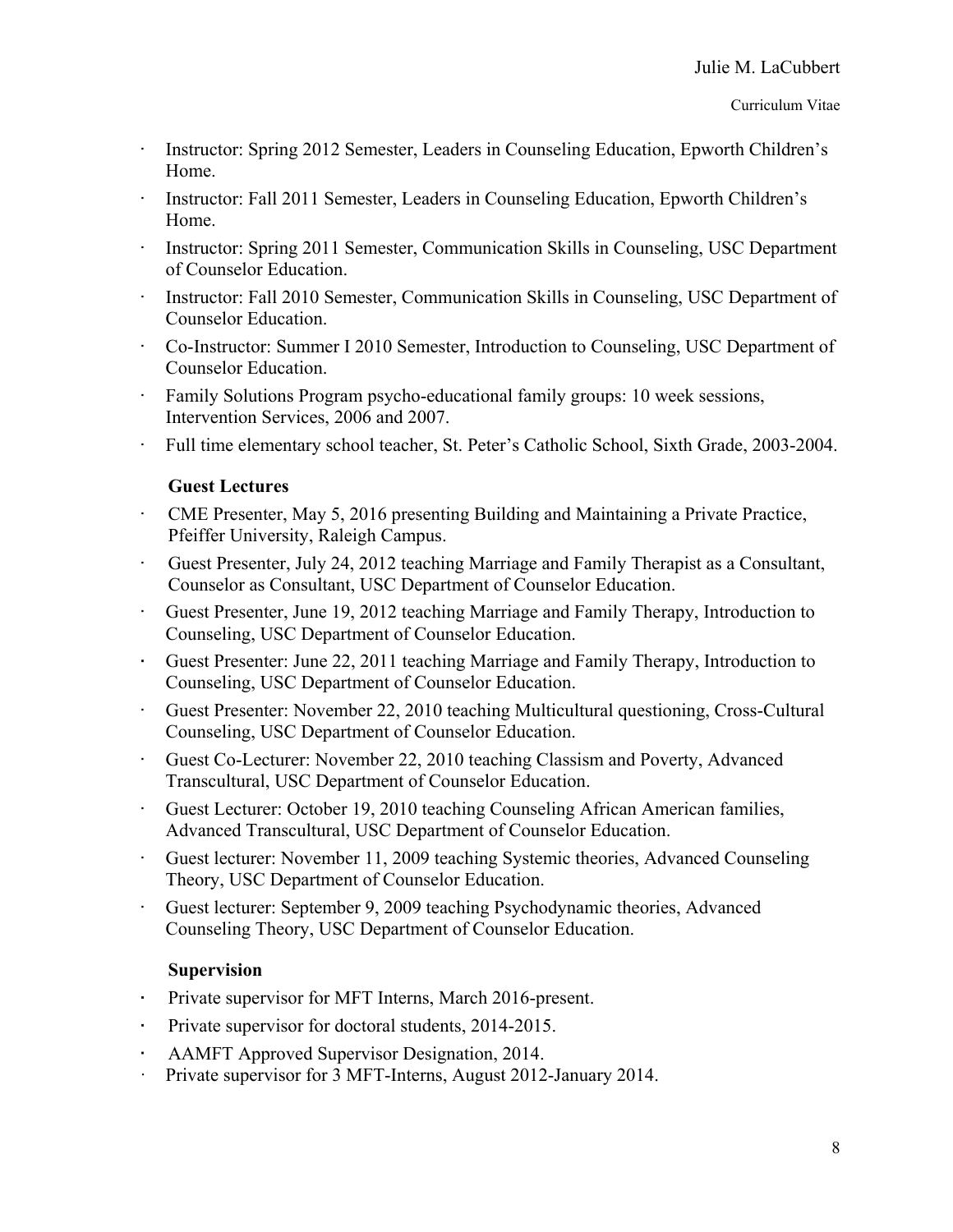- Instructor: Spring 2012 Semester, Leaders in Counseling Education, Epworth Children's Home.
- Instructor: Fall 2011 Semester, Leaders in Counseling Education, Epworth Children's Home.
- Instructor: Spring 2011 Semester, Communication Skills in Counseling, USC Department of Counselor Education.
- Instructor: Fall 2010 Semester, Communication Skills in Counseling, USC Department of Counselor Education.
- · Co-Instructor: Summer I 2010 Semester, Introduction to Counseling, USC Department of Counselor Education.
- Family Solutions Program psycho-educational family groups: 10 week sessions, Intervention Services, 2006 and 2007.
- · Full time elementary school teacher, St. Peter's Catholic School, Sixth Grade, 2003-2004.

#### **Guest Lectures**

- · CME Presenter, May 5, 2016 presenting Building and Maintaining a Private Practice, Pfeiffer University, Raleigh Campus.
- · Guest Presenter, July 24, 2012 teaching Marriage and Family Therapist as a Consultant, Counselor as Consultant, USC Department of Counselor Education.
- · Guest Presenter, June 19, 2012 teaching Marriage and Family Therapy, Introduction to Counseling, USC Department of Counselor Education.
- · Guest Presenter: June 22, 2011 teaching Marriage and Family Therapy, Introduction to Counseling, USC Department of Counselor Education.
- · Guest Presenter: November 22, 2010 teaching Multicultural questioning, Cross-Cultural Counseling, USC Department of Counselor Education.
- · Guest Co-Lecturer: November 22, 2010 teaching Classism and Poverty, Advanced Transcultural, USC Department of Counselor Education.
- · Guest Lecturer: October 19, 2010 teaching Counseling African American families, Advanced Transcultural, USC Department of Counselor Education.
- · Guest lecturer: November 11, 2009 teaching Systemic theories, Advanced Counseling Theory, USC Department of Counselor Education.
- · Guest lecturer: September 9, 2009 teaching Psychodynamic theories, Advanced Counseling Theory, USC Department of Counselor Education.

#### **Supervision**

- · Private supervisor for MFT Interns, March 2016-present.
- · Private supervisor for doctoral students, 2014-2015.
- · AAMFT Approved Supervisor Designation, 2014.
- · Private supervisor for 3 MFT-Interns, August 2012-January 2014.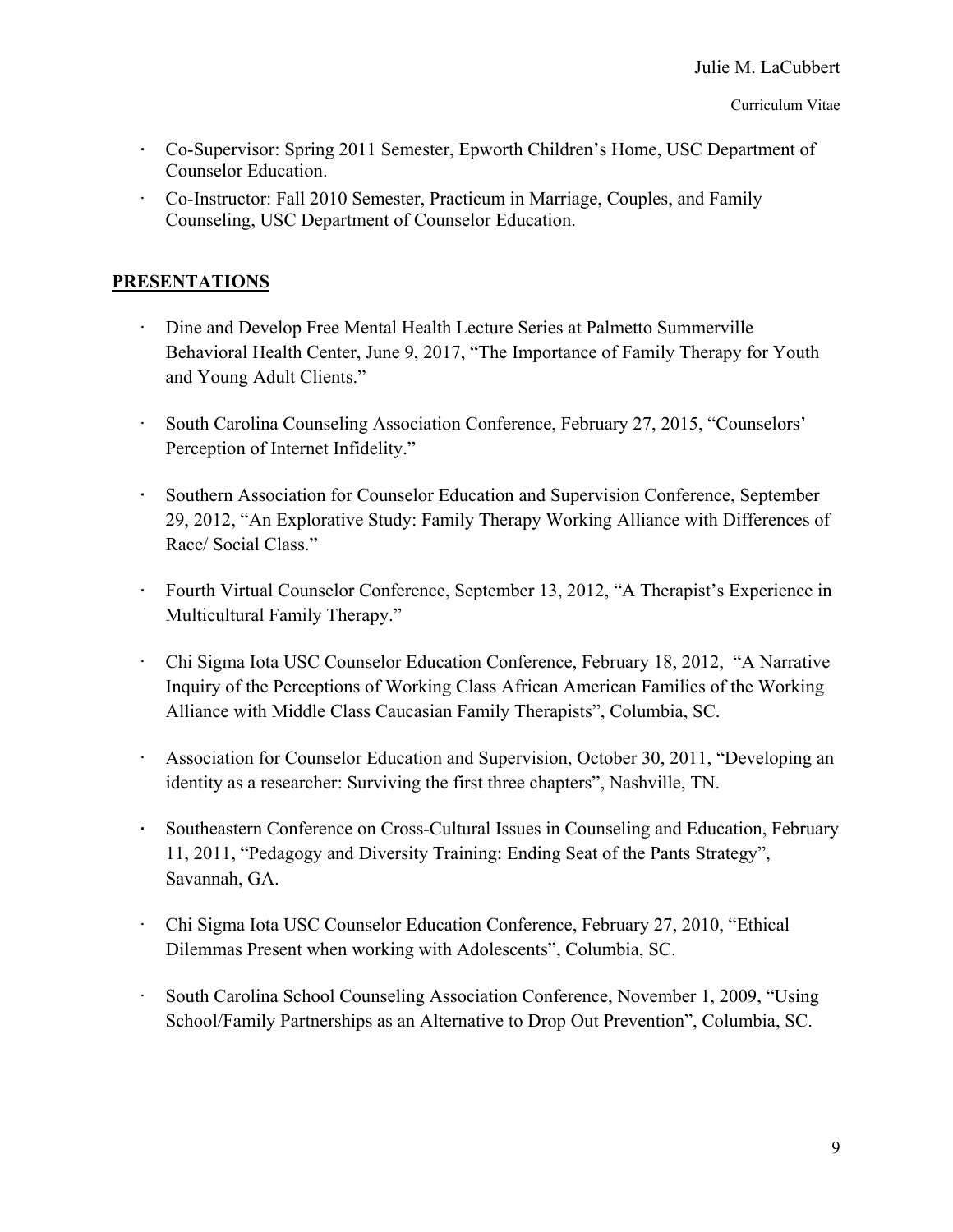- · Co-Supervisor: Spring 2011 Semester, Epworth Children's Home, USC Department of Counselor Education.
- · Co-Instructor: Fall 2010 Semester, Practicum in Marriage, Couples, and Family Counseling, USC Department of Counselor Education.

#### **PRESENTATIONS**

- · Dine and Develop Free Mental Health Lecture Series at Palmetto Summerville Behavioral Health Center, June 9, 2017, "The Importance of Family Therapy for Youth and Young Adult Clients."
- · South Carolina Counseling Association Conference, February 27, 2015, "Counselors' Perception of Internet Infidelity."
- · Southern Association for Counselor Education and Supervision Conference, September 29, 2012, "An Explorative Study: Family Therapy Working Alliance with Differences of Race/ Social Class."
- · Fourth Virtual Counselor Conference, September 13, 2012, "A Therapist's Experience in Multicultural Family Therapy."
- · Chi Sigma Iota USC Counselor Education Conference, February 18, 2012, "A Narrative Inquiry of the Perceptions of Working Class African American Families of the Working Alliance with Middle Class Caucasian Family Therapists", Columbia, SC.
- Association for Counselor Education and Supervision, October 30, 2011, "Developing an identity as a researcher: Surviving the first three chapters", Nashville, TN.
- · Southeastern Conference on Cross-Cultural Issues in Counseling and Education, February 11, 2011, "Pedagogy and Diversity Training: Ending Seat of the Pants Strategy", Savannah, GA.
- · Chi Sigma Iota USC Counselor Education Conference, February 27, 2010, "Ethical Dilemmas Present when working with Adolescents", Columbia, SC.
- · South Carolina School Counseling Association Conference, November 1, 2009, "Using School/Family Partnerships as an Alternative to Drop Out Prevention", Columbia, SC.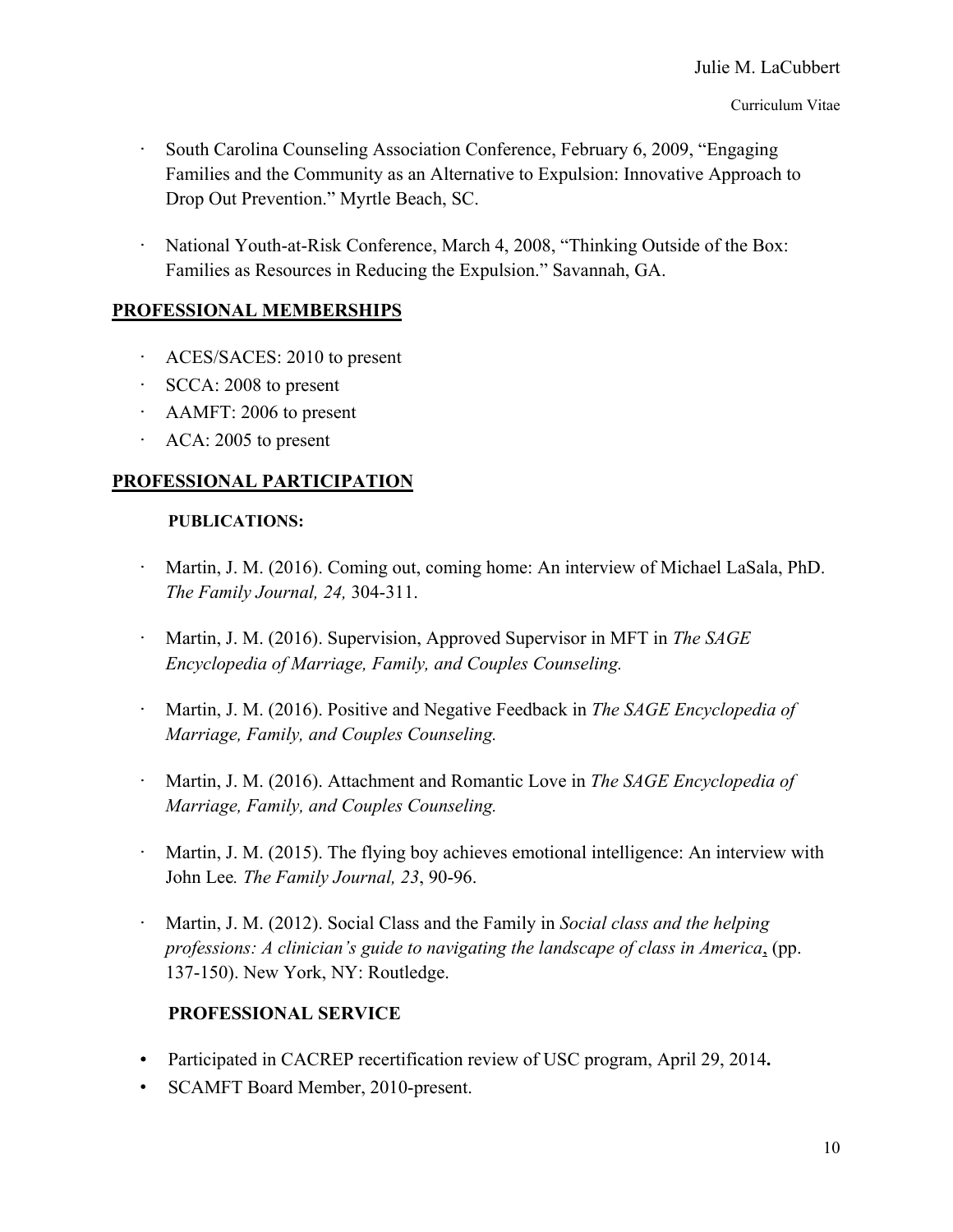- South Carolina Counseling Association Conference, February 6, 2009, "Engaging Families and the Community as an Alternative to Expulsion: Innovative Approach to Drop Out Prevention." Myrtle Beach, SC.
- National Youth-at-Risk Conference, March 4, 2008, "Thinking Outside of the Box: Families as Resources in Reducing the Expulsion." Savannah, GA.

## **PROFESSIONAL MEMBERSHIPS**

- · ACES/SACES: 2010 to present
- · SCCA: 2008 to present
- · AAMFT: 2006 to present
- · ACA: 2005 to present

# **PROFESSIONAL PARTICIPATION**

#### **PUBLICATIONS:**

- Martin, J. M. (2016). Coming out, coming home: An interview of Michael LaSala, PhD. *The Family Journal, 24,* 304-311.
- · Martin, J. M. (2016). Supervision, Approved Supervisor in MFT in *The SAGE Encyclopedia of Marriage, Family, and Couples Counseling.*
- · Martin, J. M. (2016). Positive and Negative Feedback in *The SAGE Encyclopedia of Marriage, Family, and Couples Counseling.*
- · Martin, J. M. (2016). Attachment and Romantic Love in *The SAGE Encyclopedia of Marriage, Family, and Couples Counseling.*
- Martin, J. M. (2015). The flying boy achieves emotional intelligence: An interview with John Lee*. The Family Journal, 23*, 90-96.
- · Martin, J. M. (2012). Social Class and the Family in *Social class and the helping professions: A clinician's guide to navigating the landscape of class in America*, (pp. 137-150). New York, NY: Routledge.

# **PROFESSIONAL SERVICE**

- Participated in CACREP recertification review of USC program, April 29, 2014**.**
- SCAMFT Board Member, 2010-present.